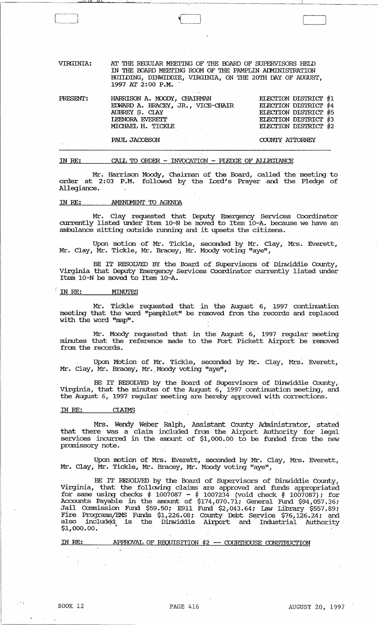| VIRGINTA: | AT THE REGULAR MEETING OF THE BOARD OF SUPERVISORS HELD<br>IN THE BOARD MEETING ROOM OF THE PAMPLIN ADMINISTRATION<br>BUILDING, DINWIDDIE, VIRGINIA, ON THE 20TH DAY OF AUGUST,<br>1997 AT 2:00 P.M. |                                                                                                                      |
|-----------|------------------------------------------------------------------------------------------------------------------------------------------------------------------------------------------------------|----------------------------------------------------------------------------------------------------------------------|
| PRESENT:  | HARRISON A. MOODY, CHAIRMAN<br>EDWARD A. BRACEY, JR., VICE-CHAIR<br>AUBREY S. CLAY<br><b>LEENORA EVERETT</b><br>MICHAEL H. TICKLE                                                                    | ELECTION DISTRICT #1<br>ELECTION DISTRICT #4<br>ELECTION DISTRICT #5<br>ELECTION DISTRICT #3<br>ELECTION DISTRICT #2 |
|           | PAUL JACOBSON                                                                                                                                                                                        | COUNTY ATTORNEY                                                                                                      |

\_~ \_\_ ~~~~~\_~,ll..1i ..,J.II.1Iw.I \_\_ ~.J..1 '~~~~--~---'~~~~--------o---~---.....L-\_\_\_\_ ~ \_\_ \_

IN RE:  $CALL$  TO ORDER - INVOCATION - PIEDGE OF ALLEGIANCE

Mr. Harrison Moody, Chainnan of the Board, called the meeting to order at 2:03 P.M. followed by the Lord's Prayer and the Pledge of Allegiance.

# IN RE: AMENDMENT TO AGENDA

Mr. Clay requested that Deputy Emergency Services Coordinator currently listed under Item 10-N be moved to Item 10-A. because we have an ambulance sitting outside running and it upsets the citizens.

Upon motion of Mr. Tickle, seconded by Mr. Clay, Mrs. Everett, Mr. Clay, Mr. Tickle, Mr. Bracey, Mr. Moody voting "aye",

BE IT RESOLVED BY the Board of Supervisors of Dinwiddie County, Virginia that Deputy Emergency Senrices Coordinator currently listed under Item 10-N be moved to Item 10-A.

# IN RE: MINUTES

Mr. Tickle requested that in the August 6, 1997 continuation meeting that the word "pamphlet" be removed from the records and replaced with the word "map".

Mr. Moody requested that in the August 6, 1997 regular meeting minutes that the reference made to the Fort Pickett Airport be removed from the records.

Upon Motion of Mr. Tickle, seconded by Mr. Clay, Mrs. Everett, Mr. Clay, Mr. Bracey, Mr. Moody voting "aye",

BE IT RESOLVEO by the Board of Supervisors of Dinwiddie County, Virginia, that the minutes of the August 6, 1997 continuation meeting, and the August 6, 1997 regular meeting are hereby approved with corrections.

#### IN RE: CIAIMS

Mrs. Wendy Weber Ralph, Assistant County Administrator, stated that there was a claim included from the Airport Authority for legal services incurred in the amount of \$1,000.00 to be funded from the new promissory note.

Upon motion of Mrs. Everett, seconded by Mr. Clay, Mrs. Everett, Mr. Clay, Mr. Tickle, Mr. Bracey, Mr. Moody voting "aye",

BE IT RESOLVED by the Board of Supervisors of Dinwiddie County, Virginia, that the following claims are approved and funds appropriated for same using checks # 1007087 - # 1007234 (void check # 1007087); for Accounts Payable in the amount of \$174,070.71; General Fund \$94,057.36; Jail Commission Fund \$59.50; E911 Fund \$2,043.64; Law Library \$557.89; Fire Programs/EMS Funds \$1,226.08; County Debt Service \$76,126.24; and also included; is the Dinwiddie Airport and Industrial Authority<br>\$1,000.00.

IN RE: APPROVAL OF REQUISITION #2 -- COURTHOUSE CONSTRUCTION

, ,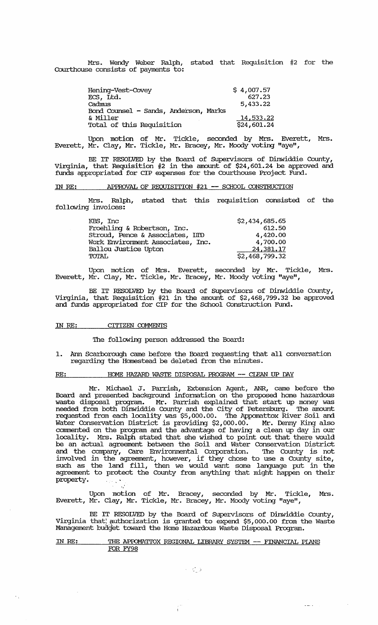Mrs. Wendy Weber Ralph, stated that Requisition #2 for the Courthouse consists of payments to:

| Hening-Vest-Covey                     | \$4,007.57  |
|---------------------------------------|-------------|
| ECS, Ltd.                             | 627.23      |
| Cadmus                                | 5,433.22    |
| Bond Counsel - Sands, Anderson, Marks |             |
| & Miller                              | 14,533.22   |
| Total of this Requisition             | \$24,601.24 |

Upon motion of Mr. Tickle, seconded by Mrs. Everett, Mrs. Everett, Mr. Clay, Mr. Tickle, Mr. Bracey, Mr. Moody voting "aye",

BE IT RESOLVED by the Board of supervisors of Dinwiddie County, Virginia, that Requisition #2 in the amount of \$24,601. 24 be approved and funds appropriated for CIP expenses for the Courthouse Project Fund.

# IN RE: APPROVAL OF REQUISITION #21 -- SCHOOL CONSTRUCTION

Mrs. Ralph, stated that this requisition consisted of the following invoices:

| KBS, Inc                          | \$2,434,685.65 |
|-----------------------------------|----------------|
| Froehling & Robertson, Inc.       | 612.50         |
| Stroud, Pence & Associates, IIID  | 4,420.00       |
| Work Environment Associates, Inc. | 4,700.00       |
| <b>Ballou Justice Upton</b>       | 24,381.17      |
| <b>TOTAL</b>                      | \$2,468,799.32 |

Upon motion of Mrs. Everett, seconded by Mr. Tickle, Mrs. Everett, Mr. Clay, Mr. Tickle, Mr. Bracey, Mr. Moody voting "aye",

BE IT RESOLVED by the Board of supervisors of Dinwiddie County, Virginia, that Requisition #21 in the amount of \$2,468,799.32 be approved and funds appropriated for CIP for the School Construction Fund.

# IN RE: CITIZEN COMMENTS

 $\mathcal{F}_{\mathcal{A}}$ 

The following person addressed the Board:

1. Ann Scarborough came before the Board requesting that all conversation regarding the Homestead be deleted from the minutes.

RE: HOME HAZARD WASTE DISPOSAL PROGRAM -- CIEAN UP DAY

Mr. Michael J. Parrish, Extension Agent, ANR, came before the Board and presented background infonnation on the proposed home hazardous waste disposal program. Mr. Parrish explained that start up money was needed from both Dinwiddie County and the City of Petersburg. The amount requested from each locality was \$5,000.00. The Appomattox River Soil and Water Conservation District is providing \$2,000.00. Mr. Denny King also commented on the program and the advantage of having a clean up day in our locality. Mrs. Ralph stated that she wished to point out that there would be an actual agreement between the Soil and Water Conservation District and the company, care Environmental Corporation. The County is not involved in the agreement, however, if they chose to use a County site, such as the land fill, then we would want some language put in the agreement to protect the County from anything that might happen on their property.  $\delta$  28  $\pm$  7

Upon motion of Mr. Bracey, seconded by Mr. Tickle, Mrs. Everett, Mr. Clay, Mr. Tickle, Mr. Bracey, Mr. Mocxiy voting "aye",

BE IT RESOLVED by the Board of Supervisors of Dinwiddie County, Virginia that: authorization is granted to expend \$5,000.00 from the Waste Management budget toward the Home Hazardous Waste Disposal Program.

# IN RE: THE APPOMATIOX REGIONAL LIBRARY SYSTEM -- FINANCIAL PLANS FOR FY98

 $\omega = \omega$  .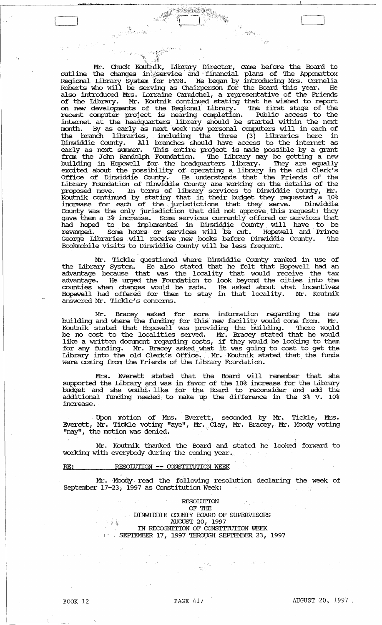Mr. Chuck Koutnik, Library Director, came before the Board to outline the changes in service and financial plans of The Appomattox Regional tibrary System 'for FY98. He began by introducing Mrs. Cornelia Roberts who will be serving as Chairperson for the Board this year. He also introduced Mrs. Lorraine Carmichel, a representative of the Friends of the Library. Mr. Koutnik Continued stating that he wished to report on new developments of the Regional Library. The first stage of the recent computer project is nearing completion. Public access to the internet at the headquarters library should be started within the next month. By as early as next week new personal computers will in each of the branch libraries, including the three (3) libraries here in Dinwiddie County. All branches should have access to the internet as early as next summer. This entire project is made possible by a grant from the John Randolph Foundation. The Library may be getting a new building in Hopewell for the headquarters library. They are equally excited about the possibility of operating a library in the old Clerk's Office of Dinwiddie County. He understands that the Friends of the Library Foundation of Dinwiddie County are working on the details of the proposed move. In tenus of library services to Dinwiddie County, Mr. Koutnik continued by stating that in their budget they requested a 10% increase for each of the jurisdictions that they- serve. Dinwiddie County was the only jurisdiction that did not approve this request; they gave them a 3% increase. Some services currently offered or services that had hoped to be implemented in Dinwiddie County will have to be revamped. Some hours or services will be cut. Hopewell and Prince George Libraries will receive new books before Dinwiddie County. The Bookmobile visits to Dinwiddie County will be less frequent.

; .. " . . 'j'," ~,~\_/,.':.:.:~~."", " :'~'1 ',' <sup>t</sup>.:'r

 $\approx 10^{13}$ 

Mr. Tickle questioned where Dinwiddie County ranked in use of the Library System. He also stated that he felt that Hopewell had an advantage because that was the locality that would receive the tax advantage. He urged the Foundation to look beyond the cities into the counties when changes would be made. He asked about what incentives Hopewell had offered for them to stay in that locality. Mr. Koutnik answered Mr. Tickle's concerns.

Mr. Bracey asked for more infonnation regarding the new building and where the funding for this new facility would come from. Mr. Koutnik stated that Hopewell was providing the building. '!here would be no cost to the localities served. Mr. Bracey stated that he would Like a written document regarding costs, if they would be looking to them Inte a written document regarding costs, in they would be fooking to them<br>for any funding. Mr. Bracey asked what it was going to cost to get the Library into the old Clerk's Office. Mr. Koutnik stated that the funds were coming from the Friends of the tibrary Foundation.

Mrs. Everett stated that the Board will remember that she supported the tibrary qnd was in favor of the 10% increase for the tibrary budget and she would'l like for the Board to reconsider and add the additional funding needed, to make up the difference in the 3% v. 10% increase.

Upon motion of Mrs. Everett, seconded by Mr. Tickle, Mrs. Everett, Mr. Tickle voting "aye", Mr. Clay, Mr. Bracey, Mr. Moody voting "nay", the motion was denied.

Mr. Koutnik thanked the Board and stated he looked forward to working with everybody during the coming year.

**RE: RESOIDTION -- CONSTITUTION WEEK** 

Mr. Moody read the following resolution declaring the week of September 17-23; 1997 as Constitution Week:

> $\cdot$  . RESOlUTION OF THE DINWIDDIE COUNTY BOARD OF SUPERVISORS AUGUST 20, 1997 IN RECOGNITION OF CONSTITUTION WEEK  $\cdot$  SEPITYMBER 17, 1997 THROUGH SEPITEMBER 23, 1997

, ,

ة سانة لمستبقل لله إستانة السن*و*يون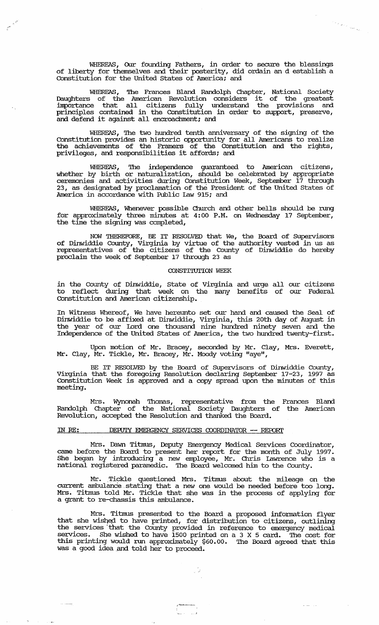WHEREAS, OUr founding Fathers, in order to secure the blessings of liberty for themselves and their posterity, did ordain an d establish a constitution for the united states of America: and

the Corporation of the Corporation of the Corporation of the Corporation of the Corporation of the Corporation of the Corporation of the Corporation of the Corporation of the Corporation of the Corporation of the Corporati

,.~

WHEREAS, The Frances Bland Randolph Chapter, National Society<br>Daughters of the American Revolution considers it of the greatest importance that all citizens fully understand the provisions and principles contained in the Constitution in order to support, preserve, and defend it against all encroachment; and

WHEREAS, The two hundred tenth anniversary of the signing of the Constitution provides an historic opportunity for all Americans to realize the achievements of the Framers of the Constitution and the rights, privileges, and responsibilities it affords: and

WHEREAS, The independence guaranteed to American citizens, whether by birth or naturalization, should be celebrated by appropriate ceremonies and activities during Constitution Week, september 17 through 23, as designated by proclamation of the President of the United states of America in accordance with Public law 915; and

WHEREAS, Whenever possible Church and other bells should be rung for approximately three minutes at 4:00 P.M. on Wednesday 17 September, the time the signing was completed,

NOW THEREFORE, BE IT RESOLVED that We, the Board of supervisors of Dinwiddie County, Virginia by virtue of the authority vested in us as representatives of the citizens of the COunty of Dinwiddie do hereby proclaim the week of September 17 through 23 as

#### CONSTITUTION WEEK

in the County of Dinwiddie, State of Virginia and urge all our citizens to reflect during that week on the many benefits of our Federal Constitution and American citizenship.

In Witness Whereof, We have hereunto set our hand and caused the Seal of Dinwiddie to be affixed at Dinwiddie, Virginia, this 20th day of August in the year of our Lord one thousand nine hundred ninety seven and the Independence of the united states of America, the two hundred twenty-first.

Upon motion of Mr. Bracey, seconded by Mr. Clay, Mrs. Everett, Mr. Clay, Mr. Tickle, Mr. Bracey, Mr. Moody voting "aye",

BE IT RESOLVED by the Board of supervisors of Dinwiddie County, Virginia that the foregoing Resolution declaring September 17-23, 1997 as Constitution Week is approved and a copy spread upon the minutes of this meeting.

Mrs. Wynonah Thomas, representative from the Frances Bland Randolph Chapter of the National Society Daughters of the American Revolution, accepted the Resolution and thanked the Board.

# IN RE: DEPUTY EMERGENCY SERVICES COORDINATOR -- REPORT

Mrs. Dawn Titmus, Deputy Emergency Medical Services Coordinator, came before the Board to present her report for the month of July 1997. She began by introducing a new employee, Mr. Chris Lawrence who is a national registered paramedic. The Board welcomed him to the COunty.

Mr. Tickle questioned Mrs. Titmus about the mileage on the current ambulance stating that a new one would be needed before too long. Mrs. Titmus told Mr. Tickle that she was in the process of applying for a grant to re-chassis this ambulance.

Mrs. Titmus presented to the Board a proposed information flyer that she wished to have printed, for distribution to citizens, outlining the services' that the COunty provided in reference to emergency medical services. She wished to have 1500 printed on a 3 X 5 card. The cost for this printing would run approximately \$60.00. '!he Board agreed that this was a good idea and told her to proceed.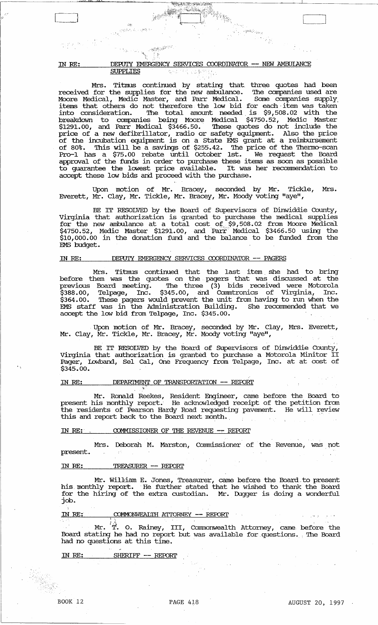,,"'11' WI' loU·1 **.j' .. '** 

ास्त्रम्<br>इ.स. १९११ - १९११ - १९११ -<br>इ.स. १९

# IN RE: DEPUIY EMERGENCY SERVICES COORDINATOR -- NEW AMBUIANCE SUPPLIES .. , ..

. İ

 $\label{eq:4} \frac{1}{2} \sum_{i=1}^{N-1} \sum_{j=1}^{N-1} \sum_{j=1}^{N-1} \sum_{j=1}^{N-1} \sum_{j=1}^{N-1} \sum_{j=1}^{N-1} \sum_{j=1}^{N-1} \sum_{j=1}^{N-1} \sum_{j=1}^{N-1} \sum_{j=1}^{N-1} \sum_{j=1}^{N-1} \sum_{j=1}^{N-1} \sum_{j=1}^{N-1} \sum_{j=1}^{N-1} \sum_{j=1}^{N-1} \sum_{j=1}^{N-1} \sum_{j=1}^{N-1} \sum$ 

Mrs. Titmus continued by stating that three quotes had been received for the supplies for the new ambulance. '!he companies used are Moore Medical, Medic Master, and Parr Medical. Some companies supply. items that others do not therefore the low bid for each· item was taken into consideration. The total amount needed is \$9,508.02 with the breakdown to companies being Moore Medical \$4750.52, Medic Master  $$1291.00$ , and Parr Medical  $$3466.50$ . These quotes do not include the price of a new defibrillator, radio or safety equipment. Also the price of the incubation equipment is on a state EMS grant at a reimbursement of 80%. This will be a savings of \$255.42. The price of the Thermo-scan Pro-1 has a \$75.00 rebate until october 1st. We request the Board approval of the funds in order to purchase these items as soon as possible approval of the funds in order to purchase these frems as soon as possible<br>to guarantee the lowest price available. It was her recommendation to accept these low bids and proceed with the purchase.

 $\mathcal{L}_{\mathcal{A}} = \mathcal{L}_{\mathcal{A}} = \mathcal{L}_{\mathcal{A}}$ 

na<br>1117 yilda<br>1118 yil

Upon motion of Mr. Bracey, seconded by Mr. Tickle, Mrs. Everett, Mr. Clay, Mr. Tickle, Mr. Bracey, Mr. Moody voting "aye",

BE IT RESOLVED by the Board of Supervisors of Dinwiddie County, Virginia that authorization is granted to purchase the medical supplies for the new ambulance at a total cost of \$9,508.02 from Moore Medical  $$4750.52$ , Medic Master  $$1291.00$ , and  $\mathrm{Parr}^\circ$  Medical  $$3466.50$  using the \$10,000.00 in the donation fund and the balance to be funded from the EMS budget.

# IN RE: DEPUIY EMERGENCY SERVICES COORDINATOR -- PAGERS

Mrs. Titmus continued that the last item she had to bring before them was the quotes on the pagers that was discussed at the previous Board meeting. The three  $(3)$  bids received were Motorola \$388.00, Telpage, Inc. \$345.00, and Cornmtronics of Virginia, Inc. \$364.00. These pagers would prevent the unit from having to run when the EMS staff was in the Administration Building. She reconnnended that we accept the low bid from Telpage, Inc.  $$345.00$ .

Upon motion of Mr. Bracey, seconded by Mr. Clay, Mrs. Everett, Mr. Clay, Mr. Tickle, Mr. Bracey, Mr. Moody voting "aye",

BE IT RESOLVED by the Board of Supervisors of Dinwiddie County, Virginia that authorization is granted to purchase a Motorola Minitor II Pager, lDwband, Sel cal, one Frequency from Telpage, Inc. at at cost of \$345.00.

# IN RE: DEPARTMENT OF TRANSPORTATION -- REPORT

Mr. Ronald Reekes, Resident Engineer, came before the Board to present his monthly report. He acknowledged receipt of the petition from the residents of Pearson Hardy Road requesting pavement. He will review this and report back to the Board next month.

# IN RE:  $\sim$  COMMISSIONER OF THE REVENUE -- REPORT

Mrs. Deborah M. Marston, Commissioner of the Revenue, was pot present.  $\mathcal{L}^2$ 

# IN RE: TREASURER -- REroRI'

Mr. WilJ:iam E. Jones, Treasurer, came before the Board.to present his monthly report. He further stated that he wished to thank the Board for the hiring of the extra custodian. Mr. Dugger is doing a wonderful job.

IN RE: COMMONWEALTH ATTORNEY -- REPORT

Mr.  $\ddot{\hat{T}}$ . O. Rainey, III, Commonwealth Attorney, came before the Board stating he had no report but was available for questions. The Board had no questions at this time.

 $\alpha_{\rm{max}}$ 

# IN RE: SHERIFF -- REPORT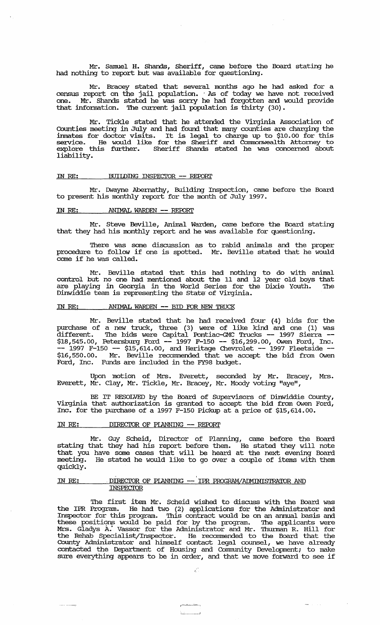Mr. Samuel H. Shands, Sheriff, came before the Board stating he had nothing to report but was available for questioning.

Mr. Bracey stated that several months ago he had asked for a census report on the jail population. . As of today we have not received one. Mr. Shands stated he was sorry he had forgotten and would provide that infonnation. '!he current jail population is thirty (30).

Mr. Tickle stated that he attended the Virginia Association of Counties meeting in July and had found that many counties are charging the irnnates for doctor visits. It is legal to charge up to \$10.00 for this service. He would like for the Sheriff and Cormnonwealth Attorney to explore this further. Sheriff Shands stated he was concerned about liability.

#### IN RE: BUILDING INSPECIOR -- REPORT

Mr. Dwayne Abernathy, Building Inspection, came before the Board to present his monthly report for the month of July 1997.

# IN RE: ANIMAL WARDEN -- REPORT

Mr. Steve Beville, Animal Warden, came before the Board stating that they had his monthly report and he was available for questioning.

There was some discussion as to rabid animals and the proper procedure to follow if one is spotted. Mr. Beville stated that he would come if he was called.

Mr. Beville stated that this had nothing to do with animal control but no one had mentioned about the 11 and 12 year old boys that are playing in Georgia in the World Series for the Dixie Youth. The Dinwiddie team is representing the State of Virginia.

#### IN RE: ANIMAL WARDEN -- BID FOR NEW TRUCK

Mr. Beville stated that he had received four (4) bids for the purchase of a new truck, three (3) were of like kind and one (1) was different. The bids were Capital Pontiac-GMC Trucks -- 1997 Sierra -- \$18,545.00, Petersburg Ford -- 1997 F-150 -- \$16,299.00, Owen Ford, Inc. -- 1997 F-150 -- \$15,614.00, and Heritage Chevrolet -- 1997 Fleetside --\$16,550.00. Mr. Beville recommended that we accept the bid from OWen Ford, Inc. Funds are included in the FY98 budget.

Upon motion of Mrs. Everett, seconded by Mr. Bracey, Mrs. Everett, Mr. Clay, Mr. Tickle, Mr. Bracey, Mr. Moody voting "aye",

BE IT RESOLVED by the Board of Supervisors of Dinwiddie County, Virginia that authorization is granted to accept the bid fram OWen Ford, Inc. for the purchase of a 1997 F-150 Pickup at a price of \$15,614.00.

# IN RE: DIRECTOR OF PLANNING -- REPORT

Mr. Guy Scheid, Director of Planning, came before the Board stating that they had his report before them. He stated they will note that you have some cases that will be heard at the next evening Board meeting. He stated he would like to go over a couple of items with them quickly.

# .. , IN RE: . DIRECIOR OF PLANNING -- IPR P.RCX?RAMjACMINISTRA'IOR AND **INSPECIOR**

The first item Mr. Scheid wished to discuss with the Board was the IPR Program. He had two (2) applications for the Administrator and Inspector for this program. '!his contract would be on an annual basis and these positions would be paid for by the program. The applicants were Mrs. Gladys A: Vassor for the Administrator and Mr. 'Ihunnan R. Hill for the Rehab Specialist/Inspector. lie recormnended to the Board that the County Administrator and himself contact legal counsel, we have already contacted the Department of Housing and Community Development; to make concacted the bepartment of housing and community beveropment; to make

£.

ال <sub>و</sub>ر بخشاب سنستشماه بر ~.J  $\frac{1}{2}$  and  $\frac{1}{2}$  and  $\frac{1}{2}$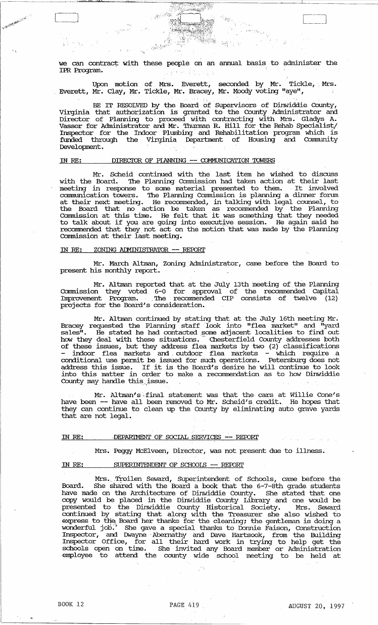we can contract with these people on an annual basis to administer the IPR Program.  $\mathcal{L}$  and  $\mathcal{L}$  ,  $\mathcal{L}$  ,  $\mathcal{L}$ 

er y

 $\mathcal{Z}^{n+1}$ 

 $\langle \cdot, \cdot \rangle_{\mathcal{X}}^{\mathcal{X}}$  :

Upon motion of Mrs. Everett, seconded by Mr. Tickle,. Mrs. Everett, Mr. Clay, Mr. Tickle, Mr. Bracey, Mr. Moody voting "aye",

BE IT RESOLVED by the Board of Supervisors of Dinwiddie County, Virginia that authorization is granted to the County Administrator and Director of Planning to proceed with contracting with Mrs. Gladys A. Vassor for Administrator and Mr. Thurman R. Hill for the Rehab Specialist/ Inspector for the Indoor Plumbing' and Rehabilitation program which is funded through the Virginia Department of Housing and Community Development.

#### IN RE: DIRECTOR OF PIANNING -- COMMUNICATION TOWERS

Mr. Scheid continued with the last item he wished to discuss with the Board. The Planning Commission had taken action at their last meeting in response to some material presented to them. It involved communication towers. The Planning Commission is planning a dinner forum at their next meeting. He recorrnnended, in talking with legal counsel, to the Board that no action be taken as recommended by the Planning Commission at this time. He felt that it was something that they needed to talk about if you are going into executive session. He again said he recommended that they not act on the motion that was made by the Planning Commission at their last meeting.

# IN RE: ZONING ADMINISTRATOR -- REPORT

**A CONTRACTOR** 

Mr. March Altman, Zoning Administrator, came before the Board to present his monthly report.

Mr. Altman reported that at the July 13th meeting of the Planning Commission they voted 6-0 for approval of the recommended Capital Improvement Program. The recommended CIP consists of twelve (12) projects for the Board's consideration.

Mr. Altman continued by stating that at the July 16th meeting Mr. Bracey requested the Planning staff look into "flea market" and "yard sales". He stated he had contacted some adjacent localities to find out how they deal with these situations. Chesterfield County addresses both of these issues, but they address flea markets by two (2) classifications indoor flea markets and outdoor flea markets - which require a conditional use permit be issued for such operations. Petersburg does not address this issue. If it is the Board's desire he will continue to look into this matter in order to make a recommendation as to how Dinwiddie County may handle this.j.ssue.

Mr. Altman's final statement was that the cars at Willie Cone's have been -- have all been removed to Mr. Scheid's credit. He hopes that they can continue to clean up the County by eliminating auto grave yards that are not legal.

# IN RE: DEPARIMENT OF SOCIAL SERVICES -- REPORT

Mrs. Peggy McElveen, Director, was not present due to illness.

#### IN RE: SUPERINTENDENT OF SCHOOLS -- REPORT

Mrs. Troilen Seward, Superintendent of Schools, came before the Board. She shared with the Board a book that the 6-7-8th grade students have made on the Architecture of Dinwiddie County. She stated that one copy would be placed in the Dinwiddie County Library and one would be presented to the Dinwiddie County Historical Society. Mrs. Seward continued by stating that along with the Treasurer she also wished to express to the Board her thanks for the cleaning; the gentleman is doing a wonderful job. She gave a special thanks to Donnie Faison, Construction Inspector, and Dwayne Abernathy and Dave Hartsook, from the Building Inspector Office, for all their hard work in trying to help get the schools open on time. She invited any Board member or Administration employee to attend the county wide school meeting to be held at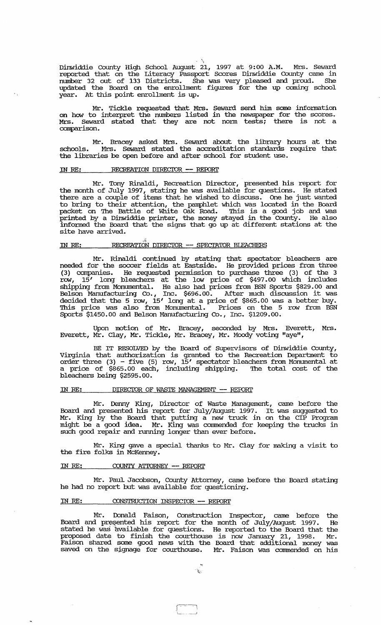Dinwiddie COunty High School August 21, 1997 at 9:00 A.M. Mrs. Seward reported that on the Literacy Passport Scores Dinwiddie COunty came in number 32 out of 133 Districts. She was very pleased and proud. She updated the Board on the enrollment figures for the up coming school year. At this point enrollment is up.

.,

Mr. Tickle requested that Mrs. Seward send him some infonnation on how to interpret the numbers listed in the newspaper for the scores. Mrs. Seward stated that they are not norm tests; there is not a comparison.

Mr. Bracey asked Mrs. Seward about the library hours at the schools. Mrs. Seward stated the accreditation standards require that schools. Mrs. Seward stated the accreditation standards the libraries be open before and after school for student use.

#### IN RE: RECREATION DIRECTOR -- REPORT

Mr. Tony Rinaldi, Recreation Director, presented his report for the month of July 1997, stating he was available for questions. He stated there are a couple of items that he wished to discuss. One he just wanted to bring to their attention, the pamphlet which was located in the Board packet on The Battle of White Oak Road. This is a good job and was printed by a Dinwiddie printer, the money stayed in the COunty. He also informed the Board that the signs that go up at different stations at the site have arrived.

# IN RE: RECREATION DIRECTOR -- SPECTATOR BLEACHERS

Mr. Rinaldi continued by stating that spectator bleachers are needed for the soccer fields at Eastside. He provided prices from three (3) companies. He requested pennission to purchase three (3) of the 3 row, 15' long bleachers at the low price of \$497.00 which includes shipping from Monumental. He also had prices from BSN Sports \$829.00 and Belson Manufacturing Co., Inc. \$696.00. After much discussion it was decided that the 5 row, 15' long at a price of \$865.00 was a better buy. This price was also from Monumental. Prices on the 5 row from BSN Sports \$1450.00 and Belson Manufacturing Co., Inc. \$1209.00.

Upon motion of Mr. Bracey, seconded by Mrs. Everett, Mrs. Everett, Mr. Clay, Mr. Tickle, Mr. Bracey, Mr. Moody voting "aye",

BE IT RESOLVED by the Board of Supervisors of Dinwiddie County, Virginia that authorization is granted to the Recreation Department to order three (3) - five (5) row, 15' spectator bleachers from Monumental at a price of \$865.00 each, including shipping. The total cost of the bleachers being \$2595.00.

# IN RE: DIRECTOR OF WASTE MANAGEMENT -- REPORT

Mr. Denny King, Director of Waste Management, came before the Board and presented his report for July/August 1997. It was suggested to Mr. King by the Board that putting a new truck in on the CIP Program might be a good idea. Mr. King was commended for keeping the trucks in such good repair and running longer than ever before.

Mr. King gave a special thanks to Mr. Clay for making a visit to the fire folks in McKenney.

# IN RE: COUNTY ATTORNEY -- REPORT

Mr. Paul Jacobson, county Attorney, came before the Board stating he had no report but was available for questioning.

# IN RE: CONSTRUCTION INSPECIOR -- REPORT

Mr. Donald Faison, construction Inspector, came before the Board and presented his report for the month of July/August 1997. He stated he was 'available for questions. He reported to the Board that the proposed date to finish the courthouse is now January 21, 1998. Mr. Faison shared some good news with the Board that additional money was saved on the signage for courthouse. Mr. Faison was commended on his

 $\begin{bmatrix} \begin{matrix} \textcolor{blue}{\phantom{1}} \end{matrix} & \begin{matrix} \textcolor{blue}{\phantom{1}} \end{matrix} & \begin{matrix} \textcolor{blue}{\phantom{1}} \end{matrix} & \begin{matrix} \textcolor{blue}{\phantom{1}} \end{matrix} & \begin{matrix} \textcolor{blue}{\phantom{1}} \end{matrix} & \begin{matrix} \textcolor{blue}{\phantom{1}} \end{matrix} & \begin{matrix} \textcolor{blue}{\phantom{1}} \end{matrix} & \begin{matrix} \textcolor{blue}{\phantom{1}} \end{matrix} & \begin{matrix} \textcolor{blue}{\phantom{1}} \end{matrix} & \begin{matrix} \text$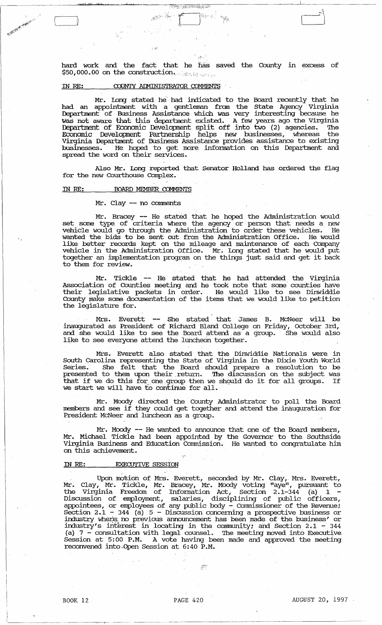hard work and the fact that he has saved. the County in excess of  $$50,000.00$  on the construction.

 $r$  :  $\sim$   $\sim$   $\sim$   $\sim$   $\sim$   $\sim$ ",: .

**BERTH AND AND ALLAN** 

# IN RE:  $\overline{C}$  COUNTY ADMINISTRATOR COMMENTS

; ,·1

ain ainm an

[<br>[

B. Maria B. Maria B. Co.

Mr. IDng stated. he' had indicated. to the Board recently that he had an appointment with a gentleman from the State Agency Virginia Department of Business Assistance which was very interesting because he was not aware that this deparbnent existed. A few years ago the Virginia Department of Economic Development split off into two (2) agencies. The Economic Development Partnership helps new businesses, whereas the Virginia Department of Business Assistance provides assistance to existing businesses. He hoped to get more infonnation on this Deparbnent and spread the word on their services.

Also Mr. Long reported that Senator Holland has ordered the flag for the new Courthouse Complex.

# IN RE: **BOARD MEMBER COMMENTS**

#### Mr. Clay -- no comments

Mr. Bracey -- He stated that he hoped the Administration would set some type of criteria where the agency or person that needs a new vehicle would go through the Administration to order these vehicles. He wanted. the bids to be sent out fram the Administration Office. He would like better records kept on the mileage and maintenance of each Company vehicle in the Administration Office. Mr. Iong stated that he would put together an implementation program on the things just said and get it back to them for review.

Mr. Tickle -- He stated. that he had attended. the Virginia Association of Counties meeting and he took note that some' counties have their legislative packets in order. He would like to see Dinwiddie County make some documentation of the items that we would like to petition the legislature for.

Mrs. Everett -- She stated that James B. McNeer will be inaugurated. as President of Richard Bland College on Friday, october 3rd, and she would like to see the Board attend as a group. She would also like to see everyone attend the luncheon together.

Mrs. Everett also stated. that the Dinwiddie Nationals were in South Carolina representing the State of Virginia in the Dixie Youth World Series. She felt that the Board· should prepare a resolution to be presented to them upon their return. The discussion on the subject was presenced to them upon their return. The discussion on the subject was<br>that if we do this for one group then we should do it for all groups. If we start we will have to continue for all.

Mr. Moody directed the County Administrator to poll the Board members and see if they could get together and attend the inauguration for President McNeer and luncheon as a group.

Mr. Moody -- He wanted to announce that one of the Board members, Mr. Michael Tickle had been appointed by the Governor to the Southside Virginia Business and Education Commission. He wanted to congratulate hini on this achievement.

# IN *RE:* EXECUTIVE SESSION

Upon mQEion of Mrs. Everett, seconded by Mr. Clay, Mrs. Everett, Mr. Clay, Mr. Tickle, Mr. Bracey, Mr. Moody voting "aye", pursuant to the Virginia Freedom of Infonnation Act, Section 2.1-344 (a) 1 - Discussion of employment, salaries, disciplining of public officers, appointees, or employees of any public body - Commissioner of the Revenue;<br>Section 2.1 - 344 (a) 5 - Discussion concerning a prospective business or industry where no previous announcement has been made of the business' or industry's interest in locating in the community; and Section 2.1 - 344 (a) 7 - consultation with legal counsel. The meeting moved into Executive (a) constant with regard conservative interacting moved from mechanism at 5:00 P.M. A vote having been made and approved the meeting reconvened into .. Open Session at 6:40 P.M.

 $\langle \cdot \rangle$